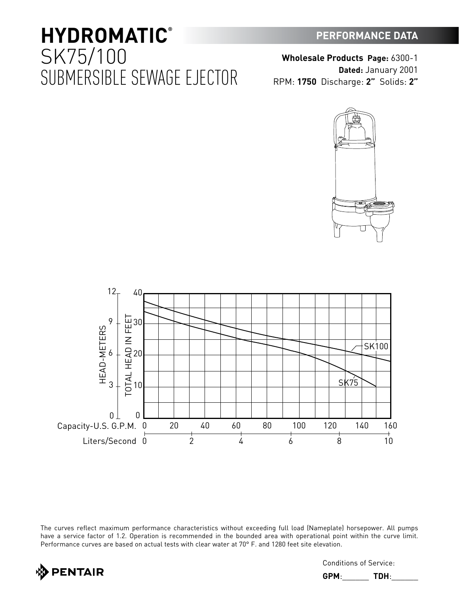## **PERFORMANCE DATA**

## **HYDROMATIC®** SK75/100 SUBMERSIBLE SEWAGE EJECTOR





The curves reflect maximum performance characteristics without exceeding full load (Nameplate) horsepower. All pumps have a service factor of 1.2. Operation is recommended in the bounded area with operational point within the curve limit. Performance curves are based on actual tests with clear water at 70° F. and 1280 feet site elevation.



Conditions of Service:

**GPM**:\_\_\_\_\_\_ **TDH**:\_\_\_\_\_\_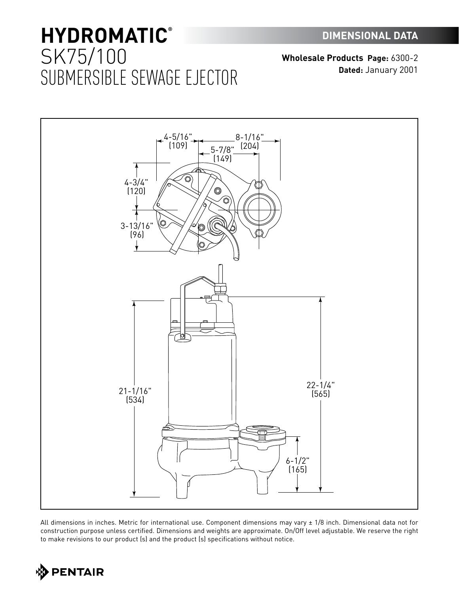# **HYDROMATIC®** SK75/100 SUBMERSIBLE SEWAGE EJECTOR

**Wholesale Products Page:** 6300-2 **Dated:** January 2001



All dimensions in inches. Metric for international use. Component dimensions may vary ± 1/8 inch. Dimensional data not for construction purpose unless certified. Dimensions and weights are approximate. On/Off level adjustable. We reserve the right to make revisions to our product (s) and the product (s) specifications without notice.

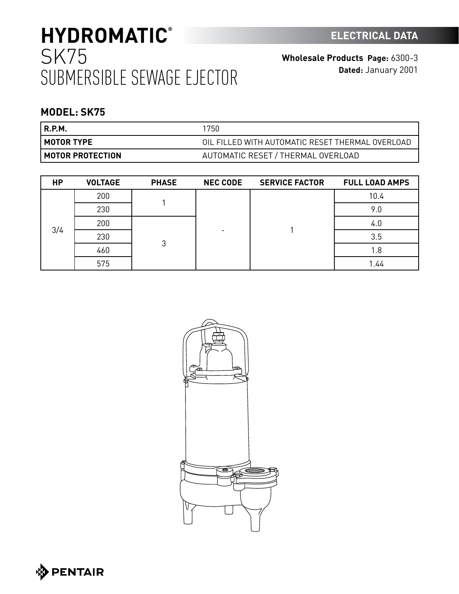# **HYDROMATIC®** SK75 SUBMERSIBLE SEWAGE EJECTOR

**Wholesale Products Page:** 6300-3 **Dated:** January 2001

## **MODEL: SK75**

| R.P.M.                    | 1750                                             |
|---------------------------|--------------------------------------------------|
| I MOTOR TYPE              | OIL FILLED WITH AUTOMATIC RESET THERMAL OVERLOAD |
| <b>I MOTOR PROTECTION</b> | AUTOMATIC RESET / THERMAL OVERLOAD               |

| <b>HP</b> | <b>VOLTAGE</b> | <b>PHASE</b> | <b>NEC CODE</b> | <b>SERVICE FACTOR</b> | <b>FULL LOAD AMPS</b> |
|-----------|----------------|--------------|-----------------|-----------------------|-----------------------|
|           | 200            |              | -               |                       | 10.4                  |
|           | 230            |              |                 |                       | 9.0                   |
|           | 200            | 3            |                 |                       | 4.0                   |
| 3/4       | 230            |              |                 |                       | 3.5                   |
|           | 460            |              |                 |                       | 1.8                   |
|           | 575            |              |                 |                       | 1.44                  |



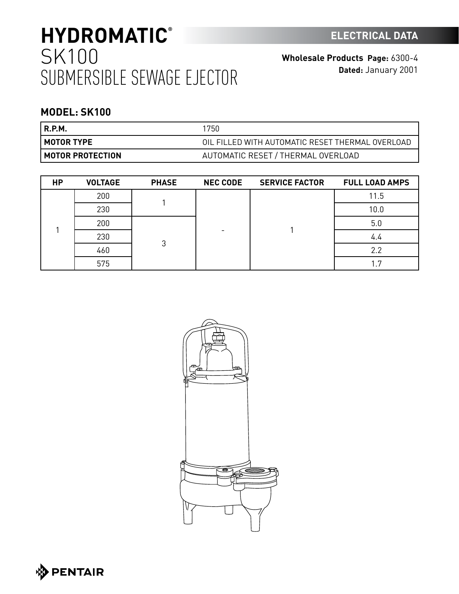# **HYDROMATIC®** SK100 SUBMERSIBLE SEWAGE EJECTOR

**Wholesale Products Page:** 6300-4 **Dated:** January 2001

## **MODEL: SK100**

| R.P.M.                    | 1750                                             |
|---------------------------|--------------------------------------------------|
| <b>I MOTOR TYPE</b>       | OIL FILLED WITH AUTOMATIC RESET THERMAL OVERLOAD |
| <b>I MOTOR PROTECTION</b> | AUTOMATIC RESET / THERMAL OVERLOAD               |

| <b>HP</b> | <b>VOLTAGE</b> | <b>PHASE</b> | <b>NEC CODE</b> | <b>SERVICE FACTOR</b> | <b>FULL LOAD AMPS</b> |
|-----------|----------------|--------------|-----------------|-----------------------|-----------------------|
|           | 200            |              |                 |                       | 11.5                  |
|           | 230            |              |                 |                       | 10.0                  |
|           | 200            | 3            |                 |                       | 5.0                   |
|           | 230            |              |                 |                       | 4.4                   |
|           | 460            |              |                 |                       | 2.2                   |
|           | 575            |              |                 |                       | -7                    |



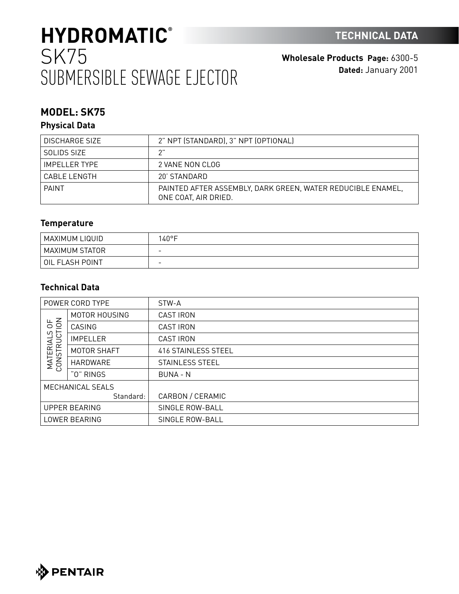# **HYDROMATIC®** SK75 SUBMERSIBLE SEWAGE EJECTOR

**Wholesale Products Page:** 6300-5 **Dated:** January 2001

## **MODEL: SK75**

### **Physical Data**

| DISCHARGE SIZE  | 2" NPT (STANDARD), 3" NPT (OPTIONAL)                                                |
|-----------------|-------------------------------------------------------------------------------------|
| SOLIDS SIZE     |                                                                                     |
| IMPFI I FR TYPF | 2 VANE NON CLOG                                                                     |
| CABLE I FNGTH   | 20' STANDARD                                                                        |
| <b>PAINT</b>    | PAINTED AFTER ASSEMBLY, DARK GREEN, WATER REDUCIBLE ENAMEL,<br>ONE COAT, AIR DRIED. |

### **Temperature**

| ' MAXIMUM LIQUID | 40°F                     |
|------------------|--------------------------|
| MAXIMUM STATOR   | $\overline{\phantom{0}}$ |
| OIL FLASH POINT  | $\overline{\phantom{0}}$ |

### **Technical Data**

|                                | POWER CORD TYPE      | STW-A                      |
|--------------------------------|----------------------|----------------------------|
|                                | MOTOR HOUSING        | <b>CAST IRON</b>           |
| 50 <sub>o</sub>                | CASING               | <b>CAST IRON</b>           |
| <b>MATERIALS</b><br>CONSTRUCTI | <b>IMPELLER</b>      | <b>CAST IRON</b>           |
|                                | MOTOR SHAFT          | <b>416 STAINLESS STEEL</b> |
|                                | HARDWARE             | STAINLESS STEEL            |
|                                | "0" RINGS            | <b>BUNA - N</b>            |
|                                | MECHANICAL SEALS     |                            |
|                                | Standard:            | CARBON / CERAMIC           |
|                                | <b>UPPER BEARING</b> | SINGLE ROW-BALL            |
| LOWER BEARING                  |                      | SINGLE ROW-BALL            |

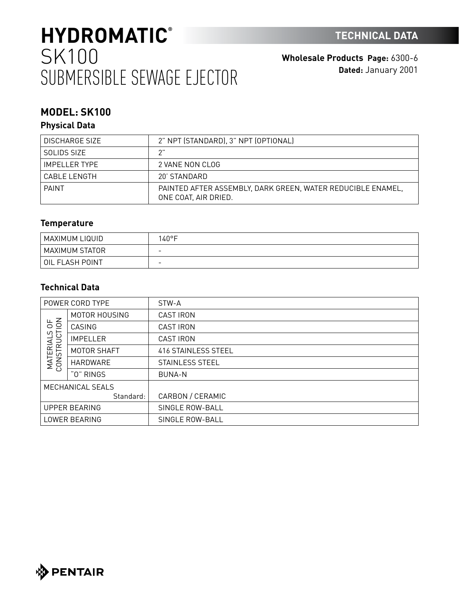# **HYDROMATIC®** SK100 SUBMERSIBLE SEWAGE EJECTOR

**Wholesale Products Page:** 6300-6 **Dated:** January 2001

## **MODEL: SK100**

### **Physical Data**

| DISCHARGE SIZE       | 2" NPT (STANDARD), 3" NPT (OPTIONAL)                                                |
|----------------------|-------------------------------------------------------------------------------------|
|                      |                                                                                     |
| SOLIDS SIZE          |                                                                                     |
| <b>IMPELLER TYPE</b> | 2 VANE NON CLOG                                                                     |
| CABLE LENGTH         | 20' STANDARD                                                                        |
| PAINT                | PAINTED AFTER ASSEMBLY, DARK GREEN, WATER REDUCIBLE ENAMEL,<br>ONE COAT, AIR DRIED. |

### **Temperature**

| ! MAXIMUM LIQUID | $40^{\circ}$ F           |
|------------------|--------------------------|
| MAXIMUM STATOR   | $\overline{\phantom{0}}$ |
| OIL FLASH POINT  | $\overline{\phantom{0}}$ |

### **Technical Data**

|                             | POWER CORD TYPE      | STW-A               |
|-----------------------------|----------------------|---------------------|
|                             | MOTOR HOUSING        | <b>CAST IRON</b>    |
| $\frac{4}{5}$<br>ഗ          | CASING               | <b>CAST IRON</b>    |
| <b>RUCT</b>                 | <b>IMPELLER</b>      | <b>CAST IRON</b>    |
| <b>MATERIAL</b><br>CONSTRUC | MOTOR SHAFT          | 416 STAINLESS STEEL |
|                             | HARDWARE             | STAINLESS STEEL     |
|                             | "0" RINGS            | <b>BUNA-N</b>       |
|                             | MECHANICAL SEALS     |                     |
|                             | Standard:            | CARBON / CERAMIC    |
|                             | <b>UPPER BEARING</b> | SINGLE ROW-BALL     |
| LOWER BEARING               |                      | SINGLE ROW-BALL     |

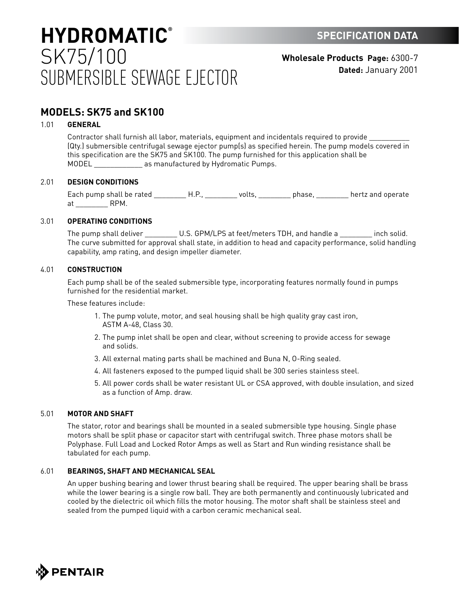## **HYDROMATIC®** SK75/100 SUBMERSIBLE SEWAGE EJECTOR

**Wholesale Products Page:** 6300-7 **Dated:** January 2001

### **MODELS: SK75 and SK100**

### 1.01 **GENERAL**

Contractor shall furnish all labor, materials, equipment and incidentals required to provide \_\_\_\_\_\_\_\_\_\_ (Qty.) submersible centrifugal sewage ejector pump(s) as specified herein. The pump models covered in this specification are the SK75 and SK100. The pump furnished for this application shall be MODEL **All as manufactured by Hydromatic Pumps.** 

### 2.01 **DESIGN CONDITIONS**

Each pump shall be rated \_\_\_\_\_\_\_\_\_\_H.P., \_\_\_\_\_\_\_\_\_ volts, \_\_\_\_\_\_\_\_\_\_ phase, \_\_\_\_\_\_\_\_\_ hertz and operate at RPM.

### 3.01 **OPERATING CONDITIONS**

The pump shall deliver \_\_\_\_\_\_\_\_\_\_ U.S. GPM/LPS at feet/meters TDH, and handle a \_\_\_\_\_\_\_\_\_ inch solid. The curve submitted for approval shall state, in addition to head and capacity performance, solid handling capability, amp rating, and design impeller diameter.

#### 4.01 **CONSTRUCTION**

Each pump shall be of the sealed submersible type, incorporating features normally found in pumps furnished for the residential market.

These features include:

- 1. The pump volute, motor, and seal housing shall be high quality gray cast iron, ASTM A-48, Class 30.
- 2. The pump inlet shall be open and clear, without screening to provide access for sewage and solids.
- 3. All external mating parts shall be machined and Buna N, O-Ring sealed.
- 4. All fasteners exposed to the pumped liquid shall be 300 series stainless steel.
- 5. All power cords shall be water resistant UL or CSA approved, with double insulation, and sized as a function of Amp. draw.

#### 5.01 **MOTOR AND SHAFT**

The stator, rotor and bearings shall be mounted in a sealed submersible type housing. Single phase motors shall be split phase or capacitor start with centrifugal switch. Three phase motors shall be Polyphase. Full Load and Locked Rotor Amps as well as Start and Run winding resistance shall be tabulated for each pump.

### 6.01 **BEARINGS, SHAFT AND MECHANICAL SEAL**

An upper bushing bearing and lower thrust bearing shall be required. The upper bearing shall be brass while the lower bearing is a single row ball. They are both permanently and continuously lubricated and cooled by the dielectric oil which fills the motor housing. The motor shaft shall be stainless steel and sealed from the pumped liquid with a carbon ceramic mechanical seal.